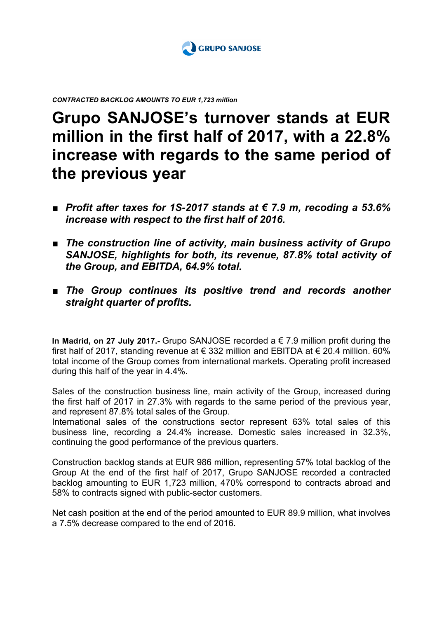

*CONTRACTED BACKLOG AMOUNTS TO EUR 1,723 million*

## **Grupo SANJOSE's turnover stands at EUR million in the first half of 2017, with a 22.8% increase with regards to the same period of the previous year**

- *Profit after taxes for 1S-2017 stands at € 7.9 m, recoding a 53.6% increase with respect to the first half of 2016.*
- *The construction line of activity, main business activity of Grupo SANJOSE, highlights for both, its revenue, 87.8% total activity of the Group, and EBITDA, 64.9% total.*
- *The Group continues its positive trend and records another straight quarter of profits.*

**In Madrid, on 27 July 2017.-** Grupo SANJOSE recorded a € 7.9 million profit during the first half of 2017, standing revenue at  $\epsilon$  332 million and EBITDA at  $\epsilon$  20.4 million. 60% total income of the Group comes from international markets. Operating profit increased during this half of the year in 4.4%.

Sales of the construction business line, main activity of the Group, increased during the first half of 2017 in 27.3% with regards to the same period of the previous year, and represent 87.8% total sales of the Group.

International sales of the constructions sector represent 63% total sales of this business line, recording a 24.4% increase. Domestic sales increased in 32.3%, continuing the good performance of the previous quarters.

Construction backlog stands at EUR 986 million, representing 57% total backlog of the Group At the end of the first half of 2017, Grupo SANJOSE recorded a contracted backlog amounting to EUR 1,723 million, 470% correspond to contracts abroad and 58% to contracts signed with public-sector customers.

Net cash position at the end of the period amounted to EUR 89.9 million, what involves a 7.5% decrease compared to the end of 2016.